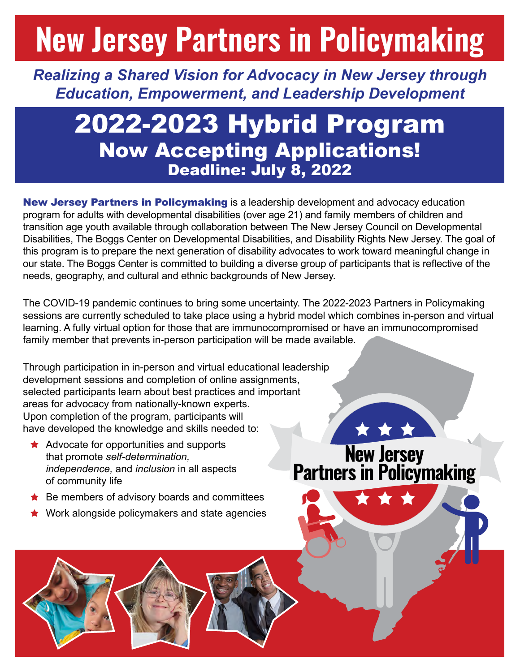## **New Jersey Partners in Policymaking**

*Realizing a Shared Vision for Advocacy in New Jersey through Education, Empowerment, and Leadership Development*

## 2022-2023 Hybrid Program Now Accepting Applications! Deadline: July 8, 2022

New Jersey Partners in Policymaking is a leadership development and advocacy education program for adults with developmental disabilities (over age 21) and family members of children and transition age youth available through collaboration between The New Jersey Council on Developmental Disabilities, The Boggs Center on Developmental Disabilities, and Disability Rights New Jersey. The goal of this program is to prepare the next generation of disability advocates to work toward meaningful change in our state. The Boggs Center is committed to building a diverse group of participants that is reflective of the needs, geography, and cultural and ethnic backgrounds of New Jersey.

The COVID-19 pandemic continues to bring some uncertainty. The 2022-2023 Partners in Policymaking sessions are currently scheduled to take place using a hybrid model which combines in-person and virtual learning. A fully virtual option for those that are immunocompromised or have an immunocompromised family member that prevents in-person participation will be made available.

Through participation in in-person and virtual educational leadership development sessions and completion of online assignments, selected participants learn about best practices and important areas for advocacy from nationally-known experts. Upon completion of the program, participants will have developed the knowledge and skills needed to:

- $\star$  Advocate for opportunities and supports that promote *self-determination, independence,* and *inclusion* in all aspects of community life
- $\bigstar$  Be members of advisory boards and committees
- Work alongside policymakers and state agencies

New Jersey<br>Partners in Policymaking

\* \* \*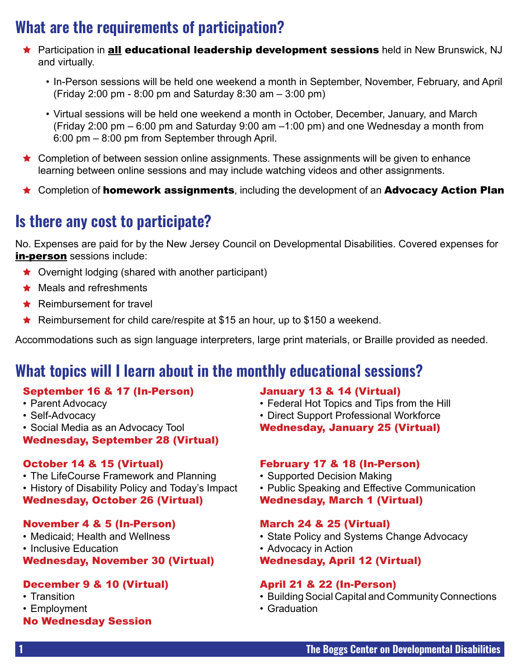## **What are the requirements of participation?**

- ★ Participation in **all educational leadership development sessions** held in New Brunswick, NJ and virtually.
	- In-Person sessions will be held one weekend a month in September, November, February, and April (Friday 2:00 pm - 8:00 pm and Saturday 8:30 am – 3:00 pm)
	- Virtual sessions will be held one weekend a month in October, December, January, and March (Friday 2:00 pm – 6:00 pm and Saturday 9:00 am –1:00 pm) and one Wednesday a month from 6:00 pm – 8:00 pm from September through April.
- ★ Completion of between session online assignments. These assignments will be given to enhance learning between online sessions and may include watching videos and other assignments.
- **\*** Completion of **homework assignments**, including the development of an **Advocacy Action Plan**

## **Is there any cost to participate?**

No. Expenses are paid for by the New Jersey Council on Developmental Disabilities. Covered expenses for in-person sessions include:

- $\bigstar$  Overnight lodging (shared with another participant)
- $\bigstar$  Meals and refreshments
- $\star$  Reimbursement for travel
- Reimbursement for child care/respite at \$15 an hour, up to \$150 a weekend.

Accommodations such as sign language interpreters, large print materials, or Braille provided as needed.

## **What topics will I learn about in the monthly educational sessions?**

#### September 16 & 17 (In-Person)

- Parent Advocacy
- Self-Advocacy
- Social Media as an Advocacy Tool
- Wednesday, September 28 (Virtual)

#### October 14 & 15 (Virtual)

- The LifeCourse Framework and Planning
- History of Disability Policy and Today's Impact Wednesday, October 26 (Virtual)

#### November 4 & 5 (In-Person)

- Medicaid; Health and Wellness
- Inclusive Education

Wednesday, November 30 (Virtual)

#### December 9 & 10 (Virtual)

- Transition
- Employment
- No Wednesday Session

#### January 13 & 14 (Virtual)

- Federal Hot Topics and Tips from the Hill
- Direct Support Professional Workforce
- Wednesday, January 25 (Virtual)

#### February 17 & 18 (In-Person)

- Supported Decision Making
- Public Speaking and Effective Communication Wednesday, March 1 (Virtual)

#### March 24 & 25 (Virtual)

- State Policy and Systems Change Advocacy
- Advocacy in Action

#### Wednesday, April 12 (Virtual)

#### April 21 & 22 (In-Person)

- Building Social Capital and Community Connections
- Graduation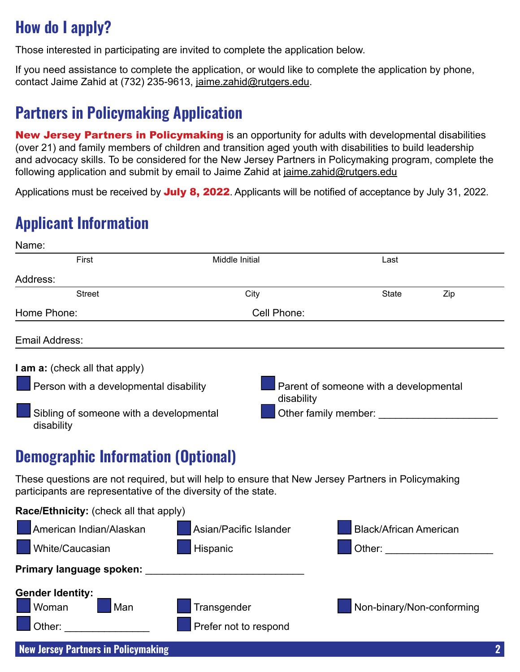## **How do I apply?**

Those interested in participating are invited to complete the application below.

If you need assistance to complete the application, or would like to complete the application by phone, contact Jaime Zahid at (732) 235-9613, [jaime.zahid@rutgers.edu](mailto:jaime.zahid@rutgers.edu).

## **Partners in Policymaking Application**

New Jersey Partners in Policymaking is an opportunity for adults with developmental disabilities (over 21) and family members of children and transition aged youth with disabilities to build leadership and advocacy skills. To be considered for the New Jersey Partners in Policymaking program, complete the following application and submit by email to Jaime Zahid at [jaime.zahid@rutgers.edu](mailto:jaime.zahid@rutgers.edu)

Applications must be received by July 8, 2022. Applicants will be notified of acceptance by July 31, 2022.

## **Applicant Information**

| Name:                                                                                                                                                                                                                          |                                                                                                    |                                                                                                                                                                                                                                |  |
|--------------------------------------------------------------------------------------------------------------------------------------------------------------------------------------------------------------------------------|----------------------------------------------------------------------------------------------------|--------------------------------------------------------------------------------------------------------------------------------------------------------------------------------------------------------------------------------|--|
| First                                                                                                                                                                                                                          | Middle Initial                                                                                     | Last                                                                                                                                                                                                                           |  |
| Address:                                                                                                                                                                                                                       |                                                                                                    |                                                                                                                                                                                                                                |  |
| <b>Street</b>                                                                                                                                                                                                                  | City                                                                                               | Zip<br><b>State</b>                                                                                                                                                                                                            |  |
| Home Phone:                                                                                                                                                                                                                    | Cell Phone:                                                                                        |                                                                                                                                                                                                                                |  |
| Email Address:                                                                                                                                                                                                                 |                                                                                                    |                                                                                                                                                                                                                                |  |
| I am a: (check all that apply)                                                                                                                                                                                                 |                                                                                                    |                                                                                                                                                                                                                                |  |
| Person with a developmental disability<br>disability                                                                                                                                                                           |                                                                                                    | Parent of someone with a developmental                                                                                                                                                                                         |  |
| Sibling of someone with a developmental<br>disability                                                                                                                                                                          |                                                                                                    |                                                                                                                                                                                                                                |  |
| <b>Demographic Information (Optional)</b>                                                                                                                                                                                      |                                                                                                    |                                                                                                                                                                                                                                |  |
| participants are representative of the diversity of the state.                                                                                                                                                                 | These questions are not required, but will help to ensure that New Jersey Partners in Policymaking |                                                                                                                                                                                                                                |  |
| Race/Ethnicity: (check all that apply)                                                                                                                                                                                         |                                                                                                    |                                                                                                                                                                                                                                |  |
| American Indian/Alaskan                                                                                                                                                                                                        | Asian/Pacific Islander                                                                             | <b>Black/African American</b>                                                                                                                                                                                                  |  |
| White/Caucasian                                                                                                                                                                                                                | Hispanic                                                                                           | Other: and the contract of the contract of the contract of the contract of the contract of the contract of the contract of the contract of the contract of the contract of the contract of the contract of the contract of the |  |
| Primary language spoken: _                                                                                                                                                                                                     |                                                                                                    |                                                                                                                                                                                                                                |  |
| <b>Gender Identity:</b>                                                                                                                                                                                                        |                                                                                                    |                                                                                                                                                                                                                                |  |
| Woman<br>Man                                                                                                                                                                                                                   | Transgender                                                                                        | Non-binary/Non-conforming                                                                                                                                                                                                      |  |
| Other: and the control of the control of the control of the control of the control of the control of the control of the control of the control of the control of the control of the control of the control of the control of t | Prefer not to respond                                                                              |                                                                                                                                                                                                                                |  |
| <b>New Jersey Partners in Policymaking</b>                                                                                                                                                                                     |                                                                                                    | $\mathbf 2$                                                                                                                                                                                                                    |  |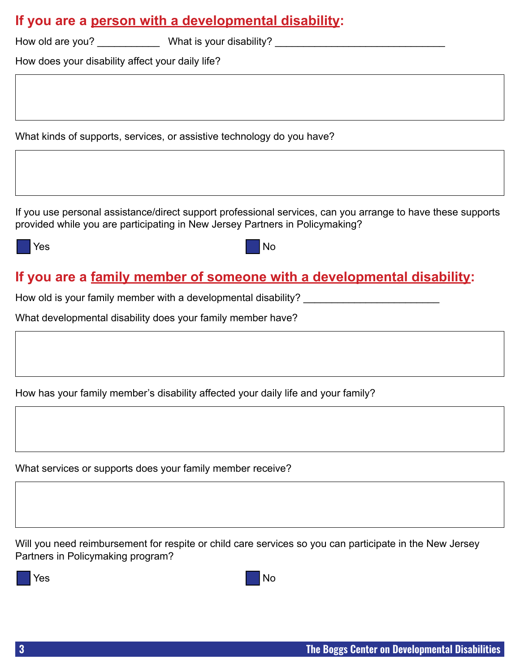| If you are a person with a developmental disability: |  |  |  |
|------------------------------------------------------|--|--|--|
|                                                      |  |  |  |

| How old are you? | What is your disability? |  |
|------------------|--------------------------|--|
|                  |                          |  |

How does your disability affect your daily life?

What kinds of supports, services, or assistive technology do you have?

If you use personal assistance/direct support professional services, can you arrange to have these supports provided while you are participating in New Jersey Partners in Policymaking?

o Yes and the North State of the North State of the North State of the North State of the North State of the No

### **If you are a family member of someone with a developmental disability:**

How old is your family member with a developmental disability? \_\_\_\_\_\_\_\_\_\_\_\_\_\_\_\_\_\_

What developmental disability does your family member have?

How has your family member's disability affected your daily life and your family?

What services or supports does your family member receive?

Will you need reimbursement for respite or child care services so you can participate in the New Jersey Partners in Policymaking program?

o Yes and the North State of the North State of the North State of the North State of the North State of the No

|  | ۰. |
|--|----|
|--|----|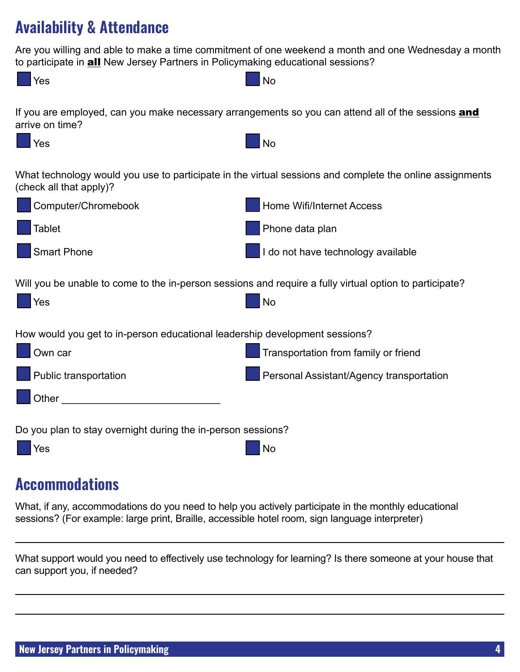## **Availability & Attendance**

Are you willing and able to make a time commitment of one weekend a month and one Wednesday a month to participate in **all** New Jersey Partners in Policymaking educational sessions?



## **Accommodations**

What, if any, accommodations do you need to help you actively participate in the monthly educational sessions? (For example: large print, Braille, accessible hotel room, sign language interpreter)

What support would you need to effectively use technology for learning? Is there someone at your house that can support you, if needed?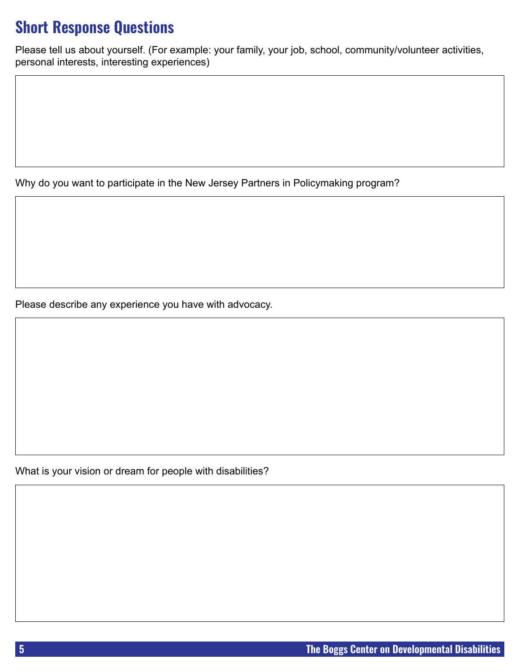## **Short Response Questions**

Please tell us about yourself. (For example: your family, your job, school, community/volunteer activities, personal interests, interesting experiences)

Why do you want to participate in the New Jersey Partners in Policymaking program?

Please describe any experience you have with advocacy.

What is your vision or dream for people with disabilities?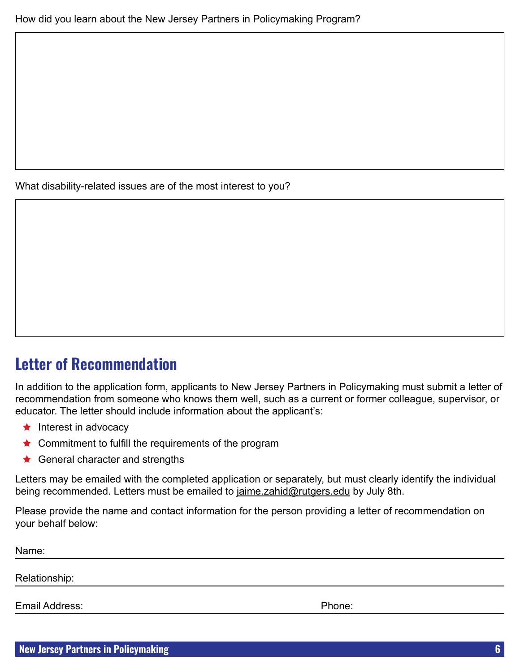What disability-related issues are of the most interest to you?

## **Letter of Recommendation**

In addition to the application form, applicants to New Jersey Partners in Policymaking must submit a letter of recommendation from someone who knows them well, such as a current or former colleague, supervisor, or educator. The letter should include information about the applicant's:

- $\bigstar$  Interest in advocacy
- ★ Commitment to fulfill the requirements of the program
- General character and strengths

Letters may be emailed with the completed application or separately, but must clearly identify the individual being recommended. Letters must be emailed to [jaime.zahid@rutgers.edu](mailto:jaime.zahid@rutgers.edu) by July 8th.

Please provide the name and contact information for the person providing a letter of recommendation on your behalf below:

Name: Relationship: Email Address: Phone: